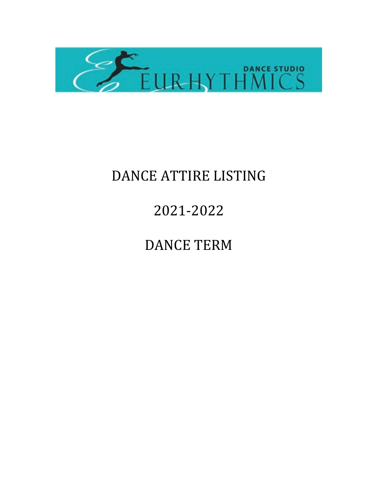

## DANCE ATTIRE LISTING

## 2021-2022

## DANCE TERM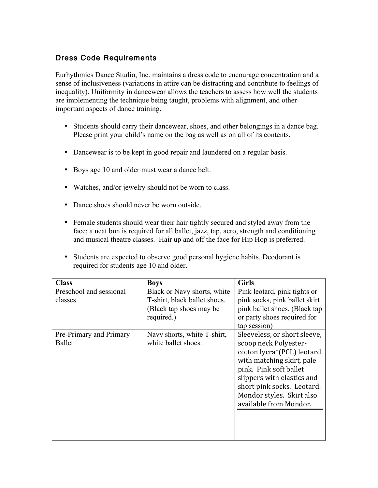## Dress Code Requirements

Eurhythmics Dance Studio, Inc. maintains a dress code to encourage concentration and a sense of inclusiveness (variations in attire can be distracting and contribute to feelings of inequality). Uniformity in dancewear allows the teachers to assess how well the students are implementing the technique being taught, problems with alignment, and other important aspects of dance training.

- Students should carry their dancewear, shoes, and other belongings in a dance bag. Please print your child's name on the bag as well as on all of its contents.
- Dancewear is to be kept in good repair and laundered on a regular basis.
- Boys age 10 and older must wear a dance belt.
- Watches, and/or jewelry should not be worn to class.
- Dance shoes should never be worn outside.
- Female students should wear their hair tightly secured and styled away from the face; a neat bun is required for all ballet, jazz, tap, acro, strength and conditioning and musical theatre classes. Hair up and off the face for Hip Hop is preferred.
- Students are expected to observe good personal hygiene habits. Deodorant is required for students age 10 and older.

| <b>Class</b>                       | <b>Boys</b>                                                                                           | <b>Girls</b>                                                                                                                                                                                                                                                  |
|------------------------------------|-------------------------------------------------------------------------------------------------------|---------------------------------------------------------------------------------------------------------------------------------------------------------------------------------------------------------------------------------------------------------------|
| Preschool and sessional<br>classes | Black or Navy shorts, white<br>T-shirt, black ballet shoes.<br>(Black tap shoes may be)<br>required.) | Pink leotard, pink tights or<br>pink socks, pink ballet skirt<br>pink ballet shoes. (Black tap<br>or party shoes required for<br>tap session)                                                                                                                 |
| Pre-Primary and Primary<br>Ballet  | Navy shorts, white T-shirt,<br>white ballet shoes.                                                    | Sleeveless, or short sleeve,<br>scoop neck Polyester-<br>cotton lycra*(PCL) leotard<br>with matching skirt, pale<br>pink. Pink soft ballet<br>slippers with elastics and<br>short pink socks. Leotard:<br>Mondor styles. Skirt also<br>available from Mondor. |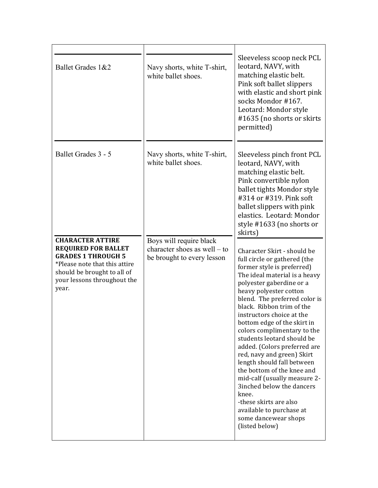| Ballet Grades 1&2                                                                                                                                                                          | Navy shorts, white T-shirt,<br>white ballet shoes.                                    | Sleeveless scoop neck PCL<br>leotard, NAVY, with<br>matching elastic belt.<br>Pink soft ballet slippers<br>with elastic and short pink<br>socks Mondor #167.<br>Leotard: Mondor style<br>#1635 (no shorts or skirts<br>permitted)                                                                                                                                                                                                                                                                                                                                                                                                                                       |
|--------------------------------------------------------------------------------------------------------------------------------------------------------------------------------------------|---------------------------------------------------------------------------------------|-------------------------------------------------------------------------------------------------------------------------------------------------------------------------------------------------------------------------------------------------------------------------------------------------------------------------------------------------------------------------------------------------------------------------------------------------------------------------------------------------------------------------------------------------------------------------------------------------------------------------------------------------------------------------|
| Ballet Grades 3 - 5                                                                                                                                                                        | Navy shorts, white T-shirt,<br>white ballet shoes.                                    | Sleeveless pinch front PCL<br>leotard, NAVY, with<br>matching elastic belt.<br>Pink convertible nylon<br>ballet tights Mondor style<br>#314 or #319. Pink soft<br>ballet slippers with pink<br>elastics. Leotard: Mondor<br>style #1633 (no shorts or<br>skirts)                                                                                                                                                                                                                                                                                                                                                                                                        |
| <b>CHARACTER ATTIRE</b><br><b>REQUIRED FOR BALLET</b><br><b>GRADES 1 THROUGH 5</b><br>*Please note that this attire<br>should be brought to all of<br>your lessons throughout the<br>year. | Boys will require black<br>character shoes as well – to<br>be brought to every lesson | Character Skirt - should be<br>full circle or gathered (the<br>former style is preferred)<br>The ideal material is a heavy<br>polyester gaberdine or a<br>heavy polyester cotton<br>blend. The preferred color is<br>black. Ribbon trim of the<br>instructors choice at the<br>bottom edge of the skirt in<br>colors complimentary to the<br>students leotard should be<br>added. (Colors preferred are<br>red, navy and green) Skirt<br>length should fall between<br>the bottom of the knee and<br>mid-calf (usually measure 2-<br>3inched below the dancers<br>knee.<br>-these skirts are also<br>available to purchase at<br>some dancewear shops<br>(listed below) |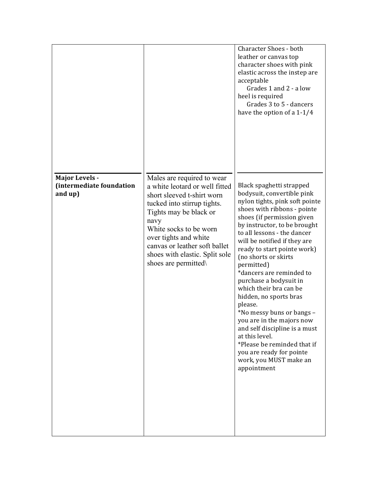|                                                              |                                                                                                                                                                                                                                                                                                           | <b>Character Shoes - both</b><br>leather or canvas top<br>character shoes with pink<br>elastic across the instep are<br>acceptable<br>Grades 1 and 2 - a low<br>heel is required<br>Grades 3 to 5 - dancers<br>have the option of a 1-1/4                                                                                                                                                                                                                                                                                                                                                                                                                       |
|--------------------------------------------------------------|-----------------------------------------------------------------------------------------------------------------------------------------------------------------------------------------------------------------------------------------------------------------------------------------------------------|-----------------------------------------------------------------------------------------------------------------------------------------------------------------------------------------------------------------------------------------------------------------------------------------------------------------------------------------------------------------------------------------------------------------------------------------------------------------------------------------------------------------------------------------------------------------------------------------------------------------------------------------------------------------|
| <b>Major Levels -</b><br>(intermediate foundation<br>and up) | Males are required to wear<br>a white leotard or well fitted<br>short sleeved t-shirt worn<br>tucked into stirrup tights.<br>Tights may be black or<br>navy<br>White socks to be worn<br>over tights and white<br>canvas or leather soft ballet<br>shoes with elastic. Split sole<br>shoes are permitted. | Black spaghetti strapped<br>bodysuit, convertible pink<br>nylon tights, pink soft pointe<br>shoes with ribbons - pointe<br>shoes (if permission given<br>by instructor, to be brought<br>to all lessons - the dancer<br>will be notified if they are<br>ready to start pointe work)<br>(no shorts or skirts<br>permitted)<br>*dancers are reminded to<br>purchase a bodysuit in<br>which their bra can be<br>hidden, no sports bras<br>please.<br>*No messy buns or bangs -<br>you are in the majors now<br>and self discipline is a must<br>at this level.<br>*Please be reminded that if<br>you are ready for pointe<br>work, you MUST make an<br>appointment |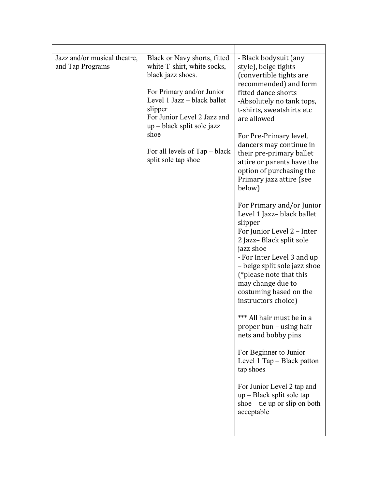| Jazz and/or musical theatre,<br>and Tap Programs | Black or Navy shorts, fitted<br>white T-shirt, white socks,<br>black jazz shoes.<br>For Primary and/or Junior<br>Level 1 Jazz – black ballet<br>slipper<br>For Junior Level 2 Jazz and<br>$up$ – black split sole jazz<br>shoe<br>For all levels of Tap – black<br>split sole tap shoe | - Black bodysuit (any<br>style), beige tights<br>(convertible tights are<br>recommended) and form<br>fitted dance shorts<br>-Absolutely no tank tops,<br>t-shirts, sweatshirts etc<br>are allowed<br>For Pre-Primary level,<br>dancers may continue in<br>their pre-primary ballet<br>attire or parents have the<br>option of purchasing the<br>Primary jazz attire (see<br>below)<br>For Primary and/or Junior<br>Level 1 Jazz-black ballet<br>slipper<br>For Junior Level 2 - Inter<br>2 Jazz-Black split sole<br>jazz shoe<br>- For Inter Level 3 and up<br>- beige split sole jazz shoe<br>(*please note that this<br>may change due to<br>costuming based on the<br>instructors choice)<br>*** All hair must be in a<br>proper bun – using hair<br>nets and bobby pins<br>For Beginner to Junior<br>Level 1 Tap – Black patton<br>tap shoes<br>For Junior Level 2 tap and<br>$up$ – Black split sole tap<br>shoe $-$ tie up or slip on both<br>acceptable |
|--------------------------------------------------|----------------------------------------------------------------------------------------------------------------------------------------------------------------------------------------------------------------------------------------------------------------------------------------|----------------------------------------------------------------------------------------------------------------------------------------------------------------------------------------------------------------------------------------------------------------------------------------------------------------------------------------------------------------------------------------------------------------------------------------------------------------------------------------------------------------------------------------------------------------------------------------------------------------------------------------------------------------------------------------------------------------------------------------------------------------------------------------------------------------------------------------------------------------------------------------------------------------------------------------------------------------|